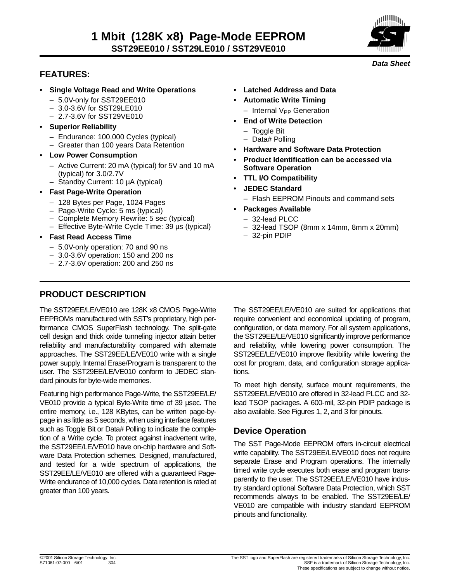

### **FEATURES:**

- **Single Voltage Read and Write Operations**
	- 5.0V-only for SST29EE010
	- 3.0-3.6V for SST29LE010
	- 2.7-3.6V for SST29VE010
- **• Superior Reliability**
	- Endurance: 100,000 Cycles (typical)
	- Greater than 100 years Data Retention
- **• Low Power Consumption**
	- Active Current: 20 mA (typical) for 5V and 10 mA (typical) for 3.0/2.7V
	- Standby Current: 10 µA (typical)
- **• Fast Page-Write Operation**
	- 128 Bytes per Page, 1024 Pages
	- Page-Write Cycle: 5 ms (typical)
	- Complete Memory Rewrite: 5 sec (typical)
	- Effective Byte-Write Cycle Time: 39 µs (typical)
- **• Fast Read Access Time**
	- 5.0V-only operation: 70 and 90 ns
	- 3.0-3.6V operation: 150 and 200 ns
	- 2.7-3.6V operation: 200 and 250 ns
- **• Latched Address and Data**
- **• Automatic Write Timing**   $-$  Internal  $V_{PP}$  Generation
- **• End of Write Detection**
	- Toggle Bit
	- Data# Polling
- **• Hardware and Software Data Protection**
- **• Product Identification can be accessed via Software Operation**
- **• TTL I/O Compatibility**
- **• JEDEC Standard** 
	- Flash EEPROM Pinouts and command sets
- **• Packages Available**
	- 32-lead PLCC
	- 32-lead TSOP (8mm x 14mm, 8mm x 20mm)
	- 32-pin PDIP

## **PRODUCT DESCRIPTION**

The SST29EE/LE/VE010 are 128K x8 CMOS Page-Write EEPROMs manufactured with SST's proprietary, high performance CMOS SuperFlash technology. The split-gate cell design and thick oxide tunneling injector attain better reliability and manufacturability compared with alternate approaches. The SST29EE/LE/VE010 write with a single power supply. Internal Erase/Program is transparent to the user. The SST29EE/LE/VE010 conform to JEDEC standard pinouts for byte-wide memories.

Featuring high performance Page-Write, the SST29EE/LE/ VE010 provide a typical Byte-Write time of 39 µsec. The entire memory, i.e., 128 KBytes, can be written page-bypage in as little as 5 seconds, when using interface features such as Toggle Bit or Data# Polling to indicate the completion of a Write cycle. To protect against inadvertent write, the SST29EE/LE/VE010 have on-chip hardware and Software Data Protection schemes. Designed, manufactured, and tested for a wide spectrum of applications, the SST29EE/LE/VE010 are offered with a guaranteed Page-Write endurance of 10,000 cycles. Data retention is rated at greater than 100 years.

The SST29EE/LE/VE010 are suited for applications that require convenient and economical updating of program, configuration, or data memory. For all system applications, the SST29EE/LE/VE010 significantly improve performance and reliability, while lowering power consumption. The SST29EE/LE/VE010 improve flexibility while lowering the cost for program, data, and configuration storage applications.

To meet high density, surface mount requirements, the SST29EE/LE/VE010 are offered in 32-lead PLCC and 32 lead TSOP packages. A 600-mil, 32-pin PDIP package is also available. See Figures [1](#page-3-0), [2,](#page-4-0) and [3](#page-4-1) for pinouts.

## **Device Operation**

The SST Page-Mode EEPROM offers in-circuit electrical write capability. The SST29EE/LE/VE010 does not require separate Erase and Program operations. The internally timed write cycle executes both erase and program transparently to the user. The SST29EE/LE/VE010 have industry standard optional Software Data Protection, which SST recommends always to be enabled. The SST29EE/LE/ VE010 are compatible with industry standard EEPROM pinouts and functionality.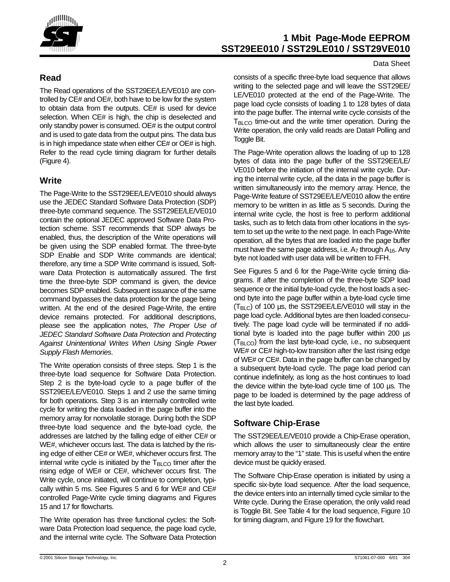

## **Read**

The Read operations of the SST29EE/LE/VE010 are controlled by CE# and OE#, both have to be low for the system to obtain data from the outputs. CE# is used for device selection. When CE# is high, the chip is deselected and only standby power is consumed. OE# is the output control and is used to gate data from the output pins. The data bus is in high impedance state when either CE# or OE# is high. Refer to the read cycle timing diagram for further details [\(Figure 4\)](#page-11-1).

## **Write**

The Page-Write to the SST29EE/LE/VE010 should always use the JEDEC Standard Software Data Protection (SDP) three-byte command sequence. The SST29EE/LE/VE010 contain the optional JEDEC approved Software Data Protection scheme. SST recommends that SDP always be enabled, thus, the description of the Write operations will be given using the SDP enabled format. The three-byte SDP Enable and SDP Write commands are identical; therefore, any time a SDP Write command is issued, Software Data Protection is automatically assured. The first time the three-byte SDP command is given, the device becomes SDP enabled. Subsequent issuance of the same command bypasses the data protection for the page being written. At the end of the desired Page-Write, the entire device remains protected. For additional descriptions, please see the application notes, The Proper Use of JEDEC Standard Software Data Protection and Protecting Against Unintentional Writes When Using Single Power Supply Flash Memories.

The Write operation consists of three steps. Step 1 is the three-byte load sequence for Software Data Protection. Step 2 is the byte-load cycle to a page buffer of the SST29EE/LE/VE010. Steps 1 and 2 use the same timing for both operations. Step 3 is an internally controlled write cycle for writing the data loaded in the page buffer into the memory array for nonvolatile storage. During both the SDP three-byte load sequence and the byte-load cycle, the addresses are latched by the falling edge of either CE# or WE#, whichever occurs last. The data is latched by the rising edge of either CE# or WE#, whichever occurs first. The internal write cycle is initiated by the  $T_{\text{BLCO}}$  timer after the rising edge of WE# or CE#, whichever occurs first. The Write cycle, once initiated, will continue to completion, typically within 5 ms. See Figures [5](#page-11-0) and [6](#page-12-0) for WE# and CE# controlled Page-Write cycle timing diagrams and Figures [15](#page-17-0) and [17](#page-19-0) for flowcharts.

The Write operation has three functional cycles: the Software Data Protection load sequence, the page load cycle, and the internal write cycle. The Software Data Protection

### Data Sheet

consists of a specific three-byte load sequence that allows writing to the selected page and will leave the SST29EE/ LE/VE010 protected at the end of the Page-Write. The page load cycle consists of loading 1 to 128 bytes of data into the page buffer. The internal write cycle consists of the  $T_{\text{BI CO}}$  time-out and the write timer operation. During the Write operation, the only valid reads are Data# Polling and Toggle Bit.

The Page-Write operation allows the loading of up to 128 bytes of data into the page buffer of the SST29EE/LE/ VE010 before the initiation of the internal write cycle. During the internal write cycle, all the data in the page buffer is written simultaneously into the memory array. Hence, the Page-Write feature of SST29EE/LE/VE010 allow the entire memory to be written in as little as 5 seconds. During the internal write cycle, the host is free to perform additional tasks, such as to fetch data from other locations in the system to set up the write to the next page. In each Page-Write operation, all the bytes that are loaded into the page buffer must have the same page address, i.e.  $A_7$  through  $A_{16}$ . Any byte not loaded with user data will be written to FFH.

See Figures [5](#page-11-0) and [6](#page-12-0) for the Page-Write cycle timing diagrams. If after the completion of the three-byte SDP load sequence or the initial byte-load cycle, the host loads a second byte into the page buffer within a byte-load cycle time  $(T_{\text{BI C}})$  of 100 µs, the SST29EE/LE/VE010 will stay in the page load cycle. Additional bytes are then loaded consecutively. The page load cycle will be terminated if no additional byte is loaded into the page buffer within 200 µs  $(T_{\text{BI CO}})$  from the last byte-load cycle, i.e., no subsequent WE# or CE# high-to-low transition after the last rising edge of WE# or CE#. Data in the page buffer can be changed by a subsequent byte-load cycle. The page load period can continue indefinitely, as long as the host continues to load the device within the byte-load cycle time of 100 µs. The page to be loaded is determined by the page address of the last byte loaded.

## **Software Chip-Erase**

The SST29EE/LE/VE010 provide a Chip-Erase operation, which allows the user to simultaneously clear the entire memory array to the "1" state. This is useful when the entire device must be quickly erased.

The Software Chip-Erase operation is initiated by using a specific six-byte load sequence. After the load sequence, the device enters into an internally timed cycle similar to the Write cycle. During the Erase operation, the only valid read is Toggle Bit. See Table 4 for the load sequence, [Figure 10](#page-14-0) for timing diagram, and [Figure 19](#page-21-0) for the flowchart.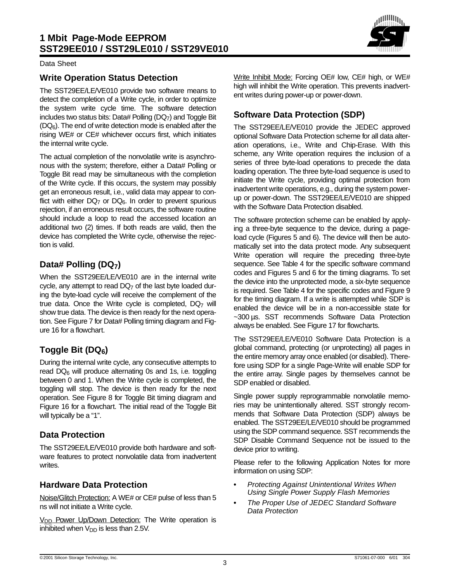

### **Write Operation Status Detection**

The SST29EE/LE/VE010 provide two software means to detect the completion of a Write cycle, in order to optimize the system write cycle time. The software detection includes two status bits: Data# Polling (DQ7) and Toggle Bit  $(DQ<sub>6</sub>)$ . The end of write detection mode is enabled after the rising WE# or CE# whichever occurs first, which initiates the internal write cycle.

The actual completion of the nonvolatile write is asynchronous with the system; therefore, either a Data# Polling or Toggle Bit read may be simultaneous with the completion of the Write cycle. If this occurs, the system may possibly get an erroneous result, i.e., valid data may appear to conflict with either  $DQ_7$  or  $DQ_6$ . In order to prevent spurious rejection, if an erroneous result occurs, the software routine should include a loop to read the accessed location an additional two (2) times. If both reads are valid, then the device has completed the Write cycle, otherwise the rejection is valid.

# **Data# Polling (DQ7)**

When the SST29EE/LE/VE010 are in the internal write cycle, any attempt to read DQ<sub>7</sub> of the last byte loaded during the byte-load cycle will receive the complement of the true data. Once the Write cycle is completed.  $DQ<sub>7</sub>$  will show true data. The device is then ready for the next operation. See [Figure 7](#page-12-1) for Data# Polling timing diagram and [Fig](#page-18-0)[ure 16](#page-18-0) for a flowchart.

## **Toggle Bit (DQ6)**

During the internal write cycle, any consecutive attempts to read  $DQ_6$  will produce alternating 0s and 1s, i.e. toggling between 0 and 1. When the Write cycle is completed, the toggling will stop. The device is then ready for the next operation. See [Figure 8](#page-13-0) for Toggle Bit timing diagram and [Figure 16](#page-18-0) for a flowchart. The initial read of the Toggle Bit will typically be a "1".

### **Data Protection**

The SST29EE/LE/VE010 provide both hardware and software features to protect nonvolatile data from inadvertent writes.

### **Hardware Data Protection**

Noise/Glitch Protection: A WE# or CE# pulse of less than 5 ns will not initiate a Write cycle.

 $V<sub>DD</sub>$  Power Up/Down Detection: The Write operation is inhibited when  $V_{DD}$  is less than 2.5V.

Write Inhibit Mode: Forcing OE# low, CE# high, or WE# high will inhibit the Write operation. This prevents inadvertent writes during power-up or power-down.

# **Software Data Protection (SDP)**

The SST29EE/LE/VE010 provide the JEDEC approved optional Software Data Protection scheme for all data alteration operations, i.e., Write and Chip-Erase. With this scheme, any Write operation requires the inclusion of a series of three byte-load operations to precede the data loading operation. The three byte-load sequence is used to initiate the Write cycle, providing optimal protection from inadvertent write operations, e.g., during the system powerup or power-down. The SST29EE/LE/VE010 are shipped with the Software Data Protection disabled.

The software protection scheme can be enabled by applying a three-byte sequence to the device, during a pageload cycle (Figures [5](#page-11-0) and [6\)](#page-12-0). The device will then be automatically set into the data protect mode. Any subsequent Write operation will require the preceding three-byte sequence. See Table 4 for the specific software command codes and Figures [5](#page-11-0) and [6](#page-12-0) for the timing diagrams. To set the device into the unprotected mode, a six-byte sequence is required. See Table 4 for the specific codes and [Figure 9](#page-13-1) for the timing diagram. If a write is attempted while SDP is enabled the device will be in a non-accessible state for ~300 µs. SST recommends Software Data Protection always be enabled. See [Figure 17](#page-19-0) for flowcharts.

The SST29EE/LE/VE010 Software Data Protection is a global command, protecting (or unprotecting) all pages in the entire memory array once enabled (or disabled). Therefore using SDP for a single Page-Write will enable SDP for the entire array. Single pages by themselves cannot be SDP enabled or disabled.

Single power supply reprogrammable nonvolatile memories may be unintentionally altered. SST strongly recommends that Software Data Protection (SDP) always be enabled. The SST29EE/LE/VE010 should be programmed using the SDP command sequence. SST recommends the SDP Disable Command Sequence not be issued to the device prior to writing.

Please refer to the following Application Notes for more information on using SDP:

- **•** Protecting Against Unintentional Writes When Using Single Power Supply Flash Memories
- **•** The Proper Use of JEDEC Standard Software Data Protection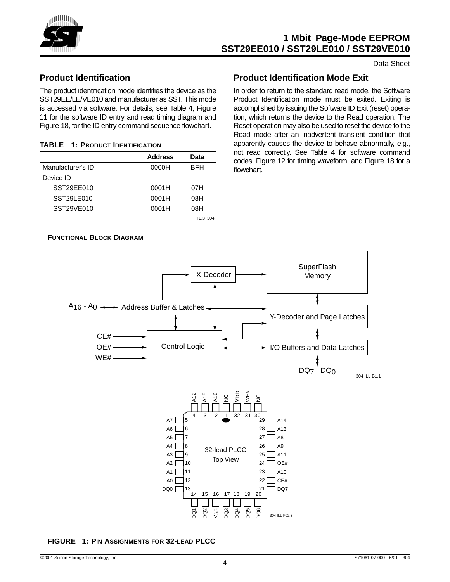

# **Product Identification**

The product identification mode identifies the device as the SST29EE/LE/VE010 and manufacturer as SST. This mode is accessed via software. For details, see Table 4, [Figure](#page-14-1) [11](#page-14-1) for the software ID entry and read timing diagram and [Figure 18](#page-20-0), for the ID entry command sequence flowchart.

### **TABLE 1: PRODUCT IDENTIFICATION**

|                   | <b>Address</b> | Data                 |
|-------------------|----------------|----------------------|
| Manufacturer's ID | 0000H          | <b>BFH</b>           |
| Device ID         |                |                      |
| SST29EE010        | 0001H          | 07H                  |
| SST29LE010        | 0001H          | 08H                  |
| SST29VE010        | 0001H          | 08H                  |
|                   |                | T <sub>1.3</sub> 304 |

## **Product Identification Mode Exit**

In order to return to the standard read mode, the Software Product Identification mode must be exited. Exiting is accomplished by issuing the Software ID Exit (reset) operation, which returns the device to the Read operation. The Reset operation may also be used to reset the device to the Read mode after an inadvertent transient condition that apparently causes the device to behave abnormally, e.g., not read correctly. See Table 4 for software command codes, [Figure 12](#page-15-0) for timing waveform, and [Figure 18](#page-20-0) for a flowchart.



<span id="page-3-0"></span>**FIGURE 1: PIN ASSIGNMENTS FOR 32-LEAD PLCC**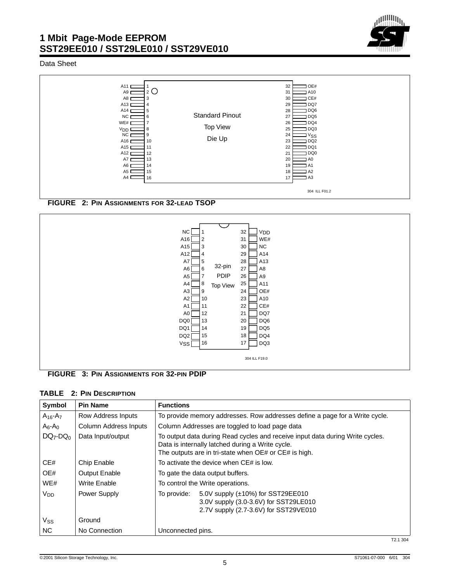

### Data Sheet



<span id="page-4-0"></span>



<span id="page-4-1"></span>**FIGURE 3: PIN ASSIGNMENTS FOR 32-PIN PDIP**

#### **TABLE 2: PIN DESCRIPTION**

| Symbol                  | <b>Pin Name</b>       | <b>Functions</b>                                                                                                                                                                           |  |  |  |  |  |
|-------------------------|-----------------------|--------------------------------------------------------------------------------------------------------------------------------------------------------------------------------------------|--|--|--|--|--|
| $A_{16} - A_{7}$        | Row Address Inputs    | To provide memory addresses. Row addresses define a page for a Write cycle.                                                                                                                |  |  |  |  |  |
| $A_6 - A_0$             | Column Address Inputs | Column Addresses are toggled to load page data                                                                                                                                             |  |  |  |  |  |
| $DQ_7$ -DQ <sub>0</sub> | Data Input/output     | To output data during Read cycles and receive input data during Write cycles.<br>Data is internally latched during a Write cycle.<br>The outputs are in tri-state when OE# or CE# is high. |  |  |  |  |  |
| CE#                     | Chip Enable           | To activate the device when CE# is low.                                                                                                                                                    |  |  |  |  |  |
| OE#                     | <b>Output Enable</b>  | To gate the data output buffers.                                                                                                                                                           |  |  |  |  |  |
| WE#                     | Write Enable          | To control the Write operations.                                                                                                                                                           |  |  |  |  |  |
| V <sub>DD</sub>         | Power Supply          | 5.0V supply $(\pm 10\%)$ for SST29EE010<br>To provide:<br>3.0V supply (3.0-3.6V) for SST29LE010<br>2.7V supply (2.7-3.6V) for SST29VE010                                                   |  |  |  |  |  |
| $V_{SS}$                | Ground                |                                                                                                                                                                                            |  |  |  |  |  |
| NC.                     | No Connection         | Unconnected pins.                                                                                                                                                                          |  |  |  |  |  |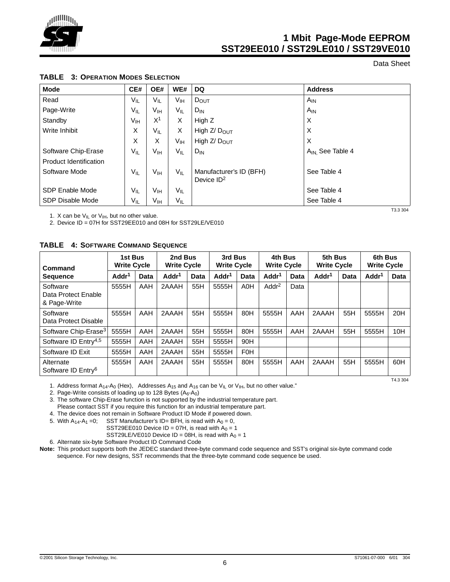

Data Sheet

#### **TABLE 3: OPERATION MODES SELECTION**

| <b>Mode</b>            | CE#             | OE#             | WE#             | <b>DQ</b>                | <b>Address</b>               |
|------------------------|-----------------|-----------------|-----------------|--------------------------|------------------------------|
| Read                   | $V_{IL}$        | $V_{IL}$        | V <sub>IH</sub> | $D_{OUT}$                | $A_{IN}$                     |
| Page-Write             | $V_{IL}$        | Vıн             | $V_{IL}$        | $D_{IN}$                 | $A_{IN}$                     |
| Standby                | V <sub>IH</sub> | X <sup>1</sup>  | X               | High Z                   | X                            |
| Write Inhibit          | X               | $V_{IL}$        | X               | High Z/ D <sub>OUT</sub> | X                            |
|                        | X               | X               | V <sub>IH</sub> | High $Z/DOUT$            | X                            |
| Software Chip-Erase    | $V_{IL}$        | Vıн             | $V_{IL}$        | $D_{IN}$                 | A <sub>IN.</sub> See Table 4 |
| Product Identification |                 |                 |                 |                          |                              |
| Software Mode          | $V_{IL}$        | Vıн             | $V_{IL}$        | Manufacturer's ID (BFH)  | See Table 4                  |
|                        |                 |                 |                 | Device $ID2$             |                              |
| SDP Enable Mode        | $V_{IL}$        | V <sub>IH</sub> | $V_{IL}$        |                          | See Table 4                  |
| SDP Disable Mode       | VIL             | Vıн             | $V_{IL}$        |                          | See Table 4                  |
|                        |                 |                 |                 |                          | T3.3 304                     |

1. X can be  $V_{\text{IL}}$  or  $V_{\text{IH}}$ , but no other value.

2. Device ID = 07H for SST29EE010 and 08H for SST29LE/VE010

**TABLE 4: SOFTWARE COMMAND SEQUENCE**

| Command                                         | 1st Bus<br><b>Write Cycle</b> |      | 2nd Bus<br><b>Write Cycle</b> |             | 3rd Bus<br><b>Write Cycle</b> |                  | 4th Bus<br><b>Write Cycle</b> |      | 5th Bus<br><b>Write Cycle</b> |      | 6th Bus<br><b>Write Cycle</b> |      |
|-------------------------------------------------|-------------------------------|------|-------------------------------|-------------|-------------------------------|------------------|-------------------------------|------|-------------------------------|------|-------------------------------|------|
| <b>Sequence</b>                                 | Addr <sup>1</sup>             | Data | Addr <sup>1</sup>             | <b>Data</b> | Addr <sup>1</sup>             | Data             | Addr <sup>1</sup>             | Data | Addr <sup>1</sup>             | Data | Addr <sup>1</sup>             | Data |
| Software<br>Data Protect Enable<br>& Page-Write | 5555H                         | AAH  | 2AAAH                         | 55H         | 5555H                         | A <sub>0</sub> H | Addr <sup>2</sup>             | Data |                               |      |                               |      |
| Software<br>Data Protect Disable                | 5555H                         | AAH  | 2AAAH                         | 55H         | 5555H                         | 80H              | 5555H                         | AAH  | 2AAAH                         | 55H  | 5555H                         | 20H  |
| Software Chip-Erase <sup>3</sup>                | 5555H                         | AAH  | 2AAAH                         | 55H         | 5555H                         | 80H              | 5555H                         | AAH  | 2AAAH                         | 55H  | 5555H                         | 10H  |
| Software ID $Entry^{4,5}$                       | 5555H                         | AAH  | 2AAAH                         | 55H         | 5555H                         | 90H              |                               |      |                               |      |                               |      |
| Software ID Exit                                | 5555H                         | AAH  | 2AAAH                         | 55H         | 5555H                         | <b>F0H</b>       |                               |      |                               |      |                               |      |
| Alternate<br>Software ID Entry <sup>6</sup>     | 5555H                         | AAH  | 2AAAH                         | 55H         | 5555H                         | 80H              | 5555H                         | AAH  | 2AAAH                         | 55H  | 5555H                         | 60H  |

1. Address format  $A_{14}$ - $A_0$  (Hex), Addresses  $A_{15}$  and  $A_{16}$  can be  $V_{II}$  or  $V_{IH}$ , but no other value."

2. Page-Write consists of loading up to 128 Bytes  $(A_6-A_0)$ 

3. The software Chip-Erase function is not supported by the industrial temperature part. Please contact SST if you require this function for an industrial temperature part.

4. The device does not remain in Software Product ID Mode if powered down.

5. With  $A_{14}$ - $A_1$  =0; SST Manufacturer's ID= BFH, is read with  $A_0 = 0$ ,

SST29EE010 Device ID = 07H, is read with  $A_0 = 1$ 

SST29LE/VE010 Device ID = 08H, is read with  $A_0 = 1$ 

6. Alternate six-byte Software Product ID Command Code

**Note:** This product supports both the JEDEC standard three-byte command code sequence and SST's original six-byte command code sequence. For new designs, SST recommends that the three-byte command code sequence be used.

T4.3 304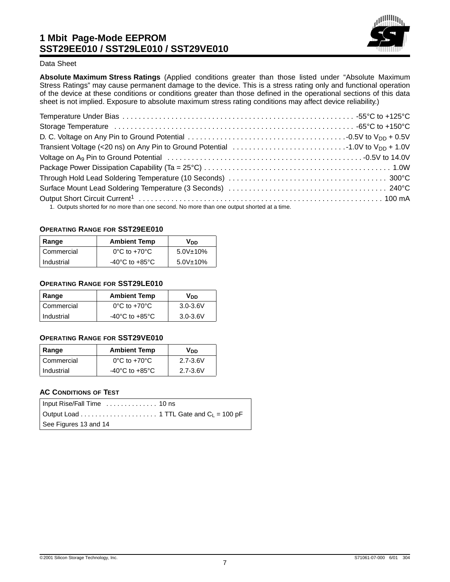

### Data Sheet

**Absolute Maximum Stress Ratings** (Applied conditions greater than those listed under "Absolute Maximum Stress Ratings" may cause permanent damage to the device. This is a stress rating only and functional operation of the device at these conditions or conditions greater than those defined in the operational sections of this data sheet is not implied. Exposure to absolute maximum stress rating conditions may affect device reliability.)

| 1. Quipute shorted for no more than ano second. No more than ano output shorted at a time |  |
|-------------------------------------------------------------------------------------------|--|

1. Outputs shorted for no more than one second. No more than one output shorted at a time.

#### **OPERATING RANGE FOR SST29EE010**

| Range      | <b>Ambient Temp</b>                  | V <sub>DD</sub> |
|------------|--------------------------------------|-----------------|
| Commercial | $0^{\circ}$ C to +70 $^{\circ}$ C    | $5.0V$ ±10%     |
| Industrial | -40 $^{\circ}$ C to +85 $^{\circ}$ C | 5.0V±10%        |

#### **OPERATING RANGE FOR SST29LE010**

| Range        | <b>Ambient Temp</b>                | V <sub>DD</sub> |
|--------------|------------------------------------|-----------------|
| l Commercial | $0^{\circ}$ C to +70 $^{\circ}$ C  | $3.0 - 3.6V$    |
| l Industrial | $-40^{\circ}$ C to $+85^{\circ}$ C | $3.0 - 3.6V$    |

#### **OPERATING RANGE FOR SST29VE010**

| Range        | <b>Ambient Temp</b>                |              |  |  |  |  |
|--------------|------------------------------------|--------------|--|--|--|--|
| I Commercial | $0^{\circ}$ C to +70 $^{\circ}$ C  | $2.7 - 3.6V$ |  |  |  |  |
| Industrial   | $-40^{\circ}$ C to $+85^{\circ}$ C | $2.7 - 3.6V$ |  |  |  |  |

### **AC CONDITIONS OF TEST**

| Input Rise/Fall Time  10 ns                                                           |  |
|---------------------------------------------------------------------------------------|--|
| Output Load $\ldots \ldots \ldots \ldots \ldots \ldots$ 1 TTL Gate and $C_L = 100$ pF |  |
| See Figures 13 and 14                                                                 |  |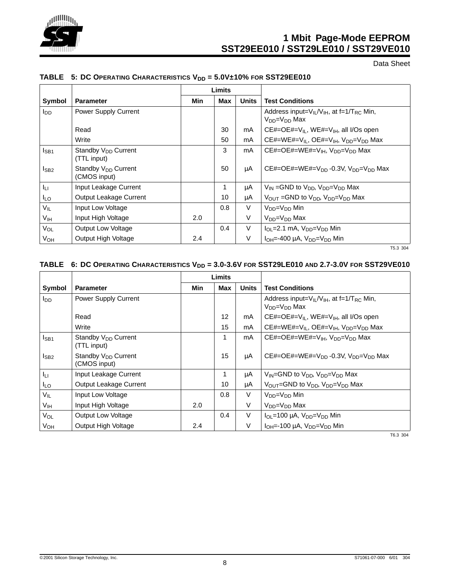

Data Sheet

|                        |                                                 | Limits |            |              |                                                                                       |
|------------------------|-------------------------------------------------|--------|------------|--------------|---------------------------------------------------------------------------------------|
| Symbol                 | <b>Parameter</b>                                | Min    | <b>Max</b> | <b>Units</b> | <b>Test Conditions</b>                                                                |
| <b>I</b> <sub>DD</sub> | Power Supply Current                            |        |            |              | Address input= $V_{II}/V_{IH}$ , at f=1/T <sub>RC</sub> Min,<br>$V_{DD} = V_{DD}$ Max |
|                        | Read                                            |        | 30         | mA           | CE#=OE#= $V_{II}$ , WE#= $V_{IH}$ , all I/Os open                                     |
|                        | Write                                           |        | 50         | mA           | CE#=WE#= $V_{IL}$ , OE#= $V_{IH}$ , $V_{DD} = V_{DD}$ Max                             |
| $I_{SB1}$              | Standby V <sub>DD</sub> Current<br>(TTL input)  |        | 3          | mA           | CE#=OE#=WE#= $V_{IH}$ , $V_{DD}=V_{DD}$ Max                                           |
| $I_{SB2}$              | Standby V <sub>DD</sub> Current<br>(CMOS input) |        | 50         | μA           | CE#=OE#=WE#= $V_{DD}$ -0.3V, $V_{DD} = V_{DD}$ Max                                    |
| $I_{LI}$               | Input Leakage Current                           |        | 1          | μA           | $V_{IN}$ =GND to $V_{DD}$ , $V_{DD} = V_{DD}$ Max                                     |
| $I_{LO}$               | Output Leakage Current                          |        | 10         | μA           | $V_{\text{OUT}}$ =GND to $V_{\text{DD}}$ , $V_{\text{DD}}=V_{\text{DD}}$ Max          |
| $V_{IL}$               | Input Low Voltage                               |        | 0.8        | V            | V <sub>DD</sub> =V <sub>DD</sub> Min                                                  |
| V <sub>IH</sub>        | Input High Voltage                              | 2.0    |            | V            | $V_{DD} = V_{DD}$ Max                                                                 |
| <b>V<sub>OL</sub></b>  | <b>Output Low Voltage</b>                       |        | 0.4        | V            | $I_{OL}$ =2.1 mA, $V_{DD}$ = $V_{DD}$ Min                                             |
| Vон                    | Output High Voltage                             | 2.4    |            | V            | $I_{OH} = -400 \mu A$ , $V_{DD} = V_{DD}$ Min                                         |

## TABLE 5: DC OPERATING CHARACTERISTICS V<sub>DD</sub> = 5.0V±10% FOR SST29EE010

T5.3 304

## TABLE 6: DC OPERATING CHARACTERISTICS V<sub>DD</sub> = 3.0-3.6V FOR SST29LE010 AND 2.7-3.0V FOR SST29VE010

|                 |                                                 | Limits |     |              |                                                                                                      |
|-----------------|-------------------------------------------------|--------|-----|--------------|------------------------------------------------------------------------------------------------------|
| Symbol          | <b>Parameter</b>                                | Min    | Max | <b>Units</b> | <b>Test Conditions</b>                                                                               |
| $I_{DD}$        | Power Supply Current                            |        |     |              | Address input= $V_{IL}/V_{IH}$ , at f=1/T <sub>RC</sub> Min,<br>V <sub>DD</sub> =V <sub>DD</sub> Max |
|                 | Read                                            |        | 12  | mA           | CE#=OE#= $V_{II}$ , WE#= $V_{IH}$ , all I/Os open                                                    |
|                 | Write                                           |        | 15  | mA           | CE#=WE#= $V_{IL}$ , OE#= $V_{IH}$ , $V_{DD} = V_{DD}$ Max                                            |
| $I_{SB1}$       | Standby V <sub>DD</sub> Current<br>(TTL input)  |        | 1   | mA           | $CE#=OE#=WE#=V_{IH}$ . $V_{DD}=V_{DD}$ Max                                                           |
| $I_{SB2}$       | Standby V <sub>DD</sub> Current<br>(CMOS input) |        | 15  | μA           | CE#=OE#=WE#= $V_{DD}$ -0.3V, $V_{DD} = V_{DD}$ Max                                                   |
| $I_{LI}$        | Input Leakage Current                           |        | 1   | μA           | $V_{IN}$ =GND to $V_{DD}$ , $V_{DD}$ = $V_{DD}$ Max                                                  |
| $I_{LO}$        | Output Leakage Current                          |        | 10  | μA           | $V_{\text{OUT}}$ =GND to $V_{\text{DD}}$ , $V_{\text{DD}}$ = $V_{\text{DD}}$ Max                     |
| $V_{IL}$        | Input Low Voltage                               |        | 0.8 | V            | V <sub>DD</sub> =V <sub>DD</sub> Min                                                                 |
| V <sub>IH</sub> | Input High Voltage                              | 2.0    |     | V            | $V_{DD} = V_{DD}$ Max                                                                                |
| VOL             | Output Low Voltage                              |        | 0.4 | V            | $I_{OL}$ =100 µA, $V_{DD}$ = $V_{DD}$ Min                                                            |
| V <sub>OH</sub> | <b>Output High Voltage</b>                      | 2.4    |     | V            | $I_{OH}$ =-100 µA, $V_{DD}$ = $V_{DD}$ Min                                                           |

T6.3 304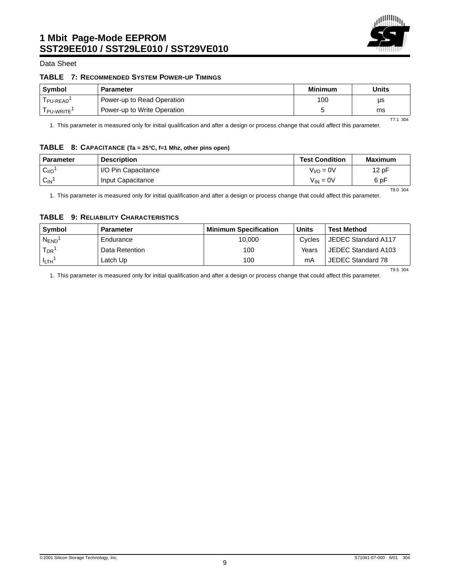

T7.1 304

T9.5 304

### Data Sheet

#### **TABLE 7: RECOMMENDED SYSTEM POWER-UP TIMINGS**

| <b>Symbol</b> | <b>Parameter</b>            | Minimum | <b>Units</b> |
|---------------|-----------------------------|---------|--------------|
| PU-READ       | Power-up to Read Operation  | 100     | μs           |
| I PU-WRITE'   | Power-up to Write Operation |         | ms           |

1. This parameter is measured only for initial qualification and after a design or process change that could affect this parameter.

#### **TABLE 8: CAPACITANCE (Ta = 25°C, f=1 Mhz, other pins open)**

| <b>Parameter</b> | <b>Description</b>  | <b>Test Condition</b> | <b>Maximum</b> |
|------------------|---------------------|-----------------------|----------------|
| C <sub>I/O</sub> | I/O Pin Capacitance | $VI/O = 0V$           | 12pF           |
| $C_{IN}$         | Input Capacitance   | $V_{IN} = 0V$         | 6 pF           |
|                  |                     |                       | T8.0 304       |

<span id="page-8-0"></span>1. This parameter is measured only for initial qualification and after a design or process change that could affect this parameter.

#### **TABLE 9: RELIABILITY CHARACTERISTICS**

| Symbol                 | <b>Parameter</b> | <b>Minimum Specification</b> | Units  | <b>Test Method</b>  |
|------------------------|------------------|------------------------------|--------|---------------------|
| $N_{END}$ <sup>1</sup> | Endurance        | 10.000                       | Cycles | JEDEC Standard A117 |
| $T_{DR}$               | Data Retention   | 100                          | Years  | JEDEC Standard A103 |
| $I_{LTH}$              | Latch Up         | 100                          | mA     | JEDEC Standard 78   |

<span id="page-8-1"></span>1. This parameter is measured only for initial qualification and after a design or process change that could affect this parameter.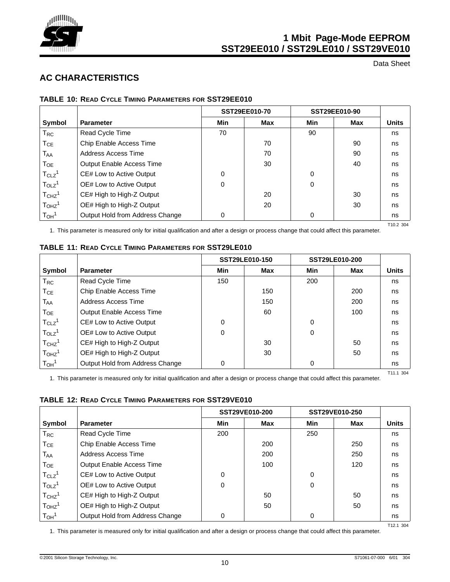

Data Sheet

# **AC CHARACTERISTICS**

### **TABLE 10: READ CYCLE TIMING PARAMETERS FOR SST29EE010**

|                               |                                  | SST29EE010-70 |     |          | <b>SST29EE010-90</b> |              |
|-------------------------------|----------------------------------|---------------|-----|----------|----------------------|--------------|
| Symbol                        | <b>Parameter</b>                 | Min           | Max | Min      | Max                  | <b>Units</b> |
| <b>T<sub>RC</sub></b>         | Read Cycle Time                  | 70            |     | 90       |                      | ns           |
| T <sub>CE</sub>               | Chip Enable Access Time          |               | 70  |          | 90                   | ns           |
| $T_{AA}$                      | Address Access Time              |               | 70  |          | 90                   | ns           |
| <b>T</b> <sub>OE</sub>        | <b>Output Enable Access Time</b> |               | 30  |          | 40                   | ns           |
| $T_{CLZ}$ <sup>1</sup>        | CE# Low to Active Output         | 0             |     | $\Omega$ |                      | ns           |
| T <sub>OLZ</sub> <sup>1</sup> | OE# Low to Active Output         | $\Omega$      |     | $\Omega$ |                      | ns           |
| T <sub>CHZ</sub> <sup>1</sup> | CE# High to High-Z Output        |               | 20  |          | 30                   | ns           |
| T <sub>OHZ</sub> <sup>1</sup> | OE# High to High-Z Output        |               | 20  |          | 30                   | ns           |
| T <sub>OH</sub> <sup>1</sup>  | Output Hold from Address Change  | 0             |     | $\Omega$ |                      | ns           |
|                               |                                  |               |     |          |                      | T10.2 304    |

1. This parameter is measured only for initial qualification and after a design or process change that could affect this parameter.

|                               |                                  |          | SST29LE010-150 |     | SST29LE010-200 |              |
|-------------------------------|----------------------------------|----------|----------------|-----|----------------|--------------|
| Symbol                        | <b>Parameter</b>                 | Min      | Max            | Min | Max            | <b>Units</b> |
| <b>T<sub>RC</sub></b>         | Read Cycle Time                  | 150      |                | 200 |                | ns           |
| $\mathsf{T}_{\mathsf{CE}}$    | Chip Enable Access Time          |          | 150            |     | 200            | ns           |
| T <sub>AA</sub>               | Address Access Time              |          | 150            |     | 200            | ns           |
| $T_{OE}$                      | <b>Output Enable Access Time</b> |          | 60             |     | 100            | ns           |
| $T_{CLZ}$ <sup>1</sup>        | CE# Low to Active Output         | $\Omega$ |                | 0   |                | ns           |
| $T_{OLZ}$ <sup>1</sup>        | OE# Low to Active Output         | $\Omega$ |                | 0   |                | ns           |
| T <sub>CHZ</sub> <sup>1</sup> | CE# High to High-Z Output        |          | 30             |     | 50             | ns           |
| T <sub>OHZ</sub> <sup>1</sup> | OE# High to High-Z Output        |          | 30             |     | 50             | ns           |
| T <sub>OH</sub> <sup>1</sup>  | Output Hold from Address Change  | 0        |                | 0   |                | ns           |
|                               |                                  |          |                |     |                | T11.1 304    |

### **TABLE 11: READ CYCLE TIMING PARAMETERS FOR SST29LE010**

1. This parameter is measured only for initial qualification and after a design or process change that could affect this parameter.

### **TABLE 12: READ CYCLE TIMING PARAMETERS FOR SST29VE010**

|                               |                                  | SST29VE010-200 |     | SST29VE010-250 |     |              |
|-------------------------------|----------------------------------|----------------|-----|----------------|-----|--------------|
| Symbol                        | <b>Parameter</b>                 | Min            | Max | Min            | Max | <b>Units</b> |
| <b>T<sub>RC</sub></b>         | Read Cycle Time                  | 200            |     | 250            |     | ns           |
| $T_{CE}$                      | Chip Enable Access Time          |                | 200 |                | 250 | ns           |
| T <sub>AA</sub>               | Address Access Time              |                | 200 |                | 250 | ns           |
| $T_{OE}$                      | <b>Output Enable Access Time</b> |                | 100 |                | 120 | ns           |
| $T_{CLZ}$ <sup>1</sup>        | CE# Low to Active Output         | 0              |     | $\Omega$       |     | ns           |
| $T_{OLZ}$ <sup>1</sup>        | OE# Low to Active Output         | $\mathbf 0$    |     | $\Omega$       |     | ns           |
| T <sub>CHZ</sub> <sup>1</sup> | CE# High to High-Z Output        |                | 50  |                | 50  | ns           |
| T <sub>OHZ</sub> <sup>1</sup> | OE# High to High-Z Output        |                | 50  |                | 50  | ns           |
| T <sub>OH</sub> <sup>1</sup>  | Output Hold from Address Change  | 0              |     | 0              |     | ns           |

T12.1 304

1. This parameter is measured only for initial qualification and after a design or process change that could affect this parameter.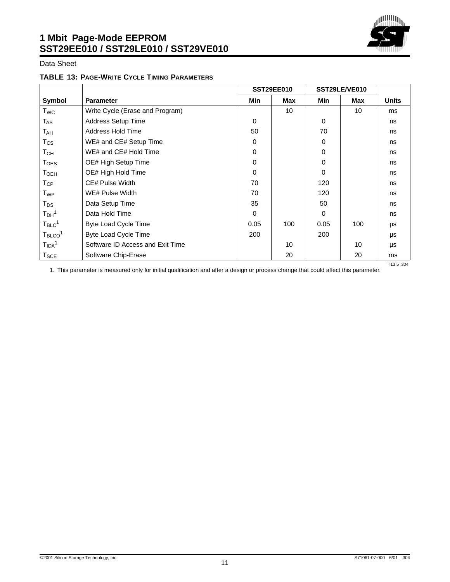

### Data Sheet

### **TABLE 13: PAGE-WRITE CYCLE TIMING PARAMETERS**

|                         |                                  |             | <b>SST29EE010</b> |             | SST29LE/VE010   |              |
|-------------------------|----------------------------------|-------------|-------------------|-------------|-----------------|--------------|
| <b>Symbol</b>           | <b>Parameter</b>                 | Min         | <b>Max</b>        | Min         | Max             | <b>Units</b> |
| <b>T</b> <sub>wc</sub>  | Write Cycle (Erase and Program)  |             | 10                |             | 10 <sup>1</sup> | ms           |
| <b>TAS</b>              | <b>Address Setup Time</b>        | $\mathbf 0$ |                   | 0           |                 | ns           |
| T <sub>AH</sub>         | Address Hold Time                | 50          |                   | 70          |                 | ns           |
| $T_{\rm CS}$            | WE# and CE# Setup Time           | 0           |                   | 0           |                 | ns           |
| T <sub>CH</sub>         | WE# and CE# Hold Time            | 0           |                   | $\mathbf 0$ |                 | ns           |
| $T_{\text{OES}}$        | OE# High Setup Time              | $\mathbf 0$ |                   | $\mathbf 0$ |                 | ns           |
| <b>TOEH</b>             | OE# High Hold Time               | $\Omega$    |                   | $\Omega$    |                 | ns           |
| <b>T<sub>CP</sub></b>   | CE# Pulse Width                  | 70          |                   | 120         |                 | ns           |
| T <sub>WP</sub>         | WE# Pulse Width                  | 70          |                   | 120         |                 | ns           |
| T <sub>DS</sub>         | Data Setup Time                  | 35          |                   | 50          |                 | ns           |
| T <sub>DH</sub> 1       | Data Hold Time                   | $\Omega$    |                   | $\Omega$    |                 | ns           |
| $T_{BLC}$ <sup>1</sup>  | Byte Load Cycle Time             | 0.05        | 100               | 0.05        | 100             | μs           |
| $T_{BICO}$ <sup>1</sup> | <b>Byte Load Cycle Time</b>      | 200         |                   | 200         |                 | μs           |
| T <sub>IDA</sub> 1      | Software ID Access and Exit Time |             | 10                |             | 10              | μs           |
| $T_{SCE}$               | Software Chip-Erase              |             | 20                |             | 20              | ms           |
|                         |                                  |             |                   |             |                 | T13.5 304    |

<span id="page-10-0"></span>1. This parameter is measured only for initial qualification and after a design or process change that could affect this parameter.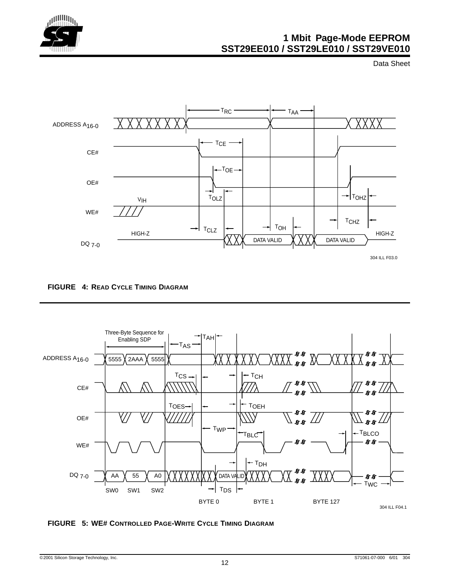



<span id="page-11-1"></span>



<span id="page-11-0"></span>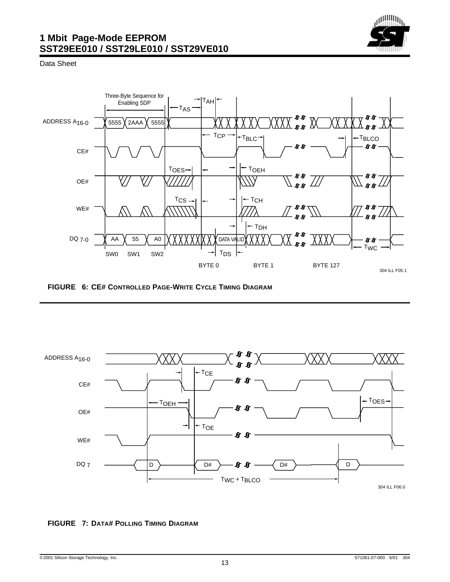



<span id="page-12-0"></span>**FIGURE 6: CE# CONTROLLED PAGE-WRITE CYCLE TIMING DIAGRAM**



<span id="page-12-1"></span>**FIGURE 7: DATA# POLLING TIMING DIAGRAM**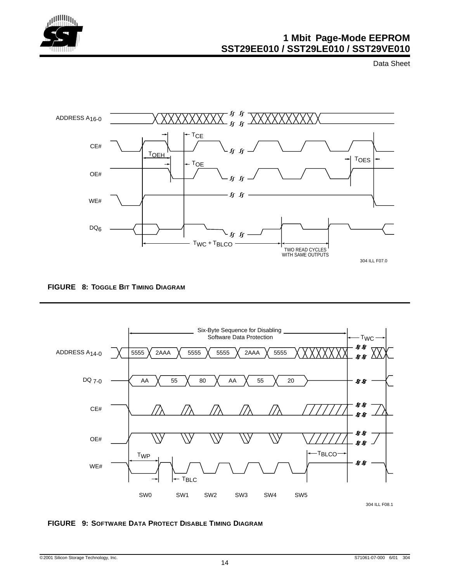



<span id="page-13-0"></span>



<span id="page-13-1"></span>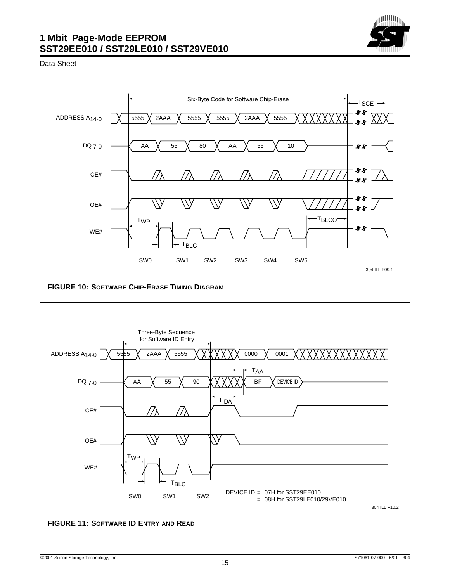



<span id="page-14-0"></span>**FIGURE 10: SOFTWARE CHIP-ERASE TIMING DIAGRAM**



304 ILL F10.2

<span id="page-14-1"></span>**FIGURE 11: SOFTWARE ID ENTRY AND READ**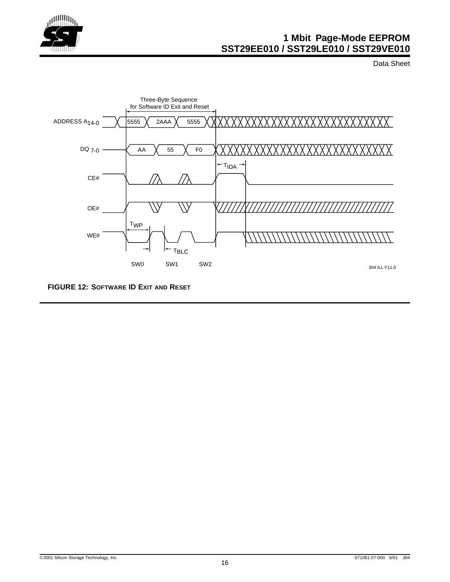



<span id="page-15-0"></span>**FIGURE 12: SOFTWARE ID EXIT AND RESET**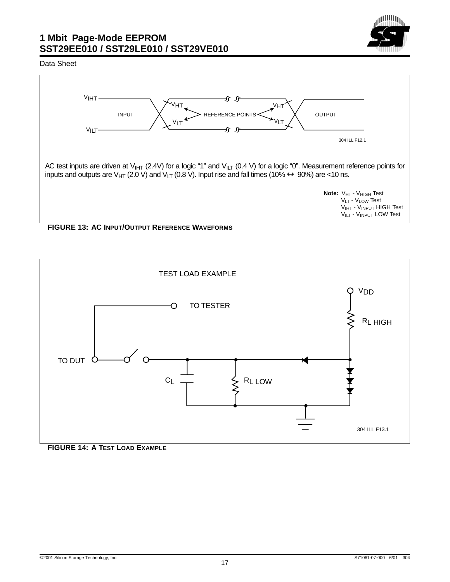



<span id="page-16-0"></span>



<span id="page-16-1"></span>**FIGURE 14: A TEST LOAD EXAMPLE**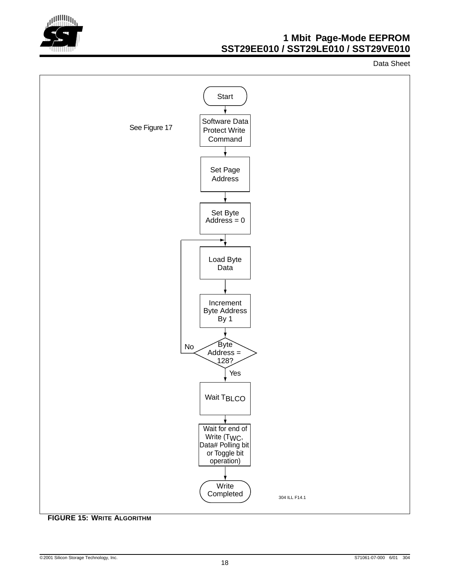



<span id="page-17-0"></span>**FIGURE 15: WRITE ALGORITHM**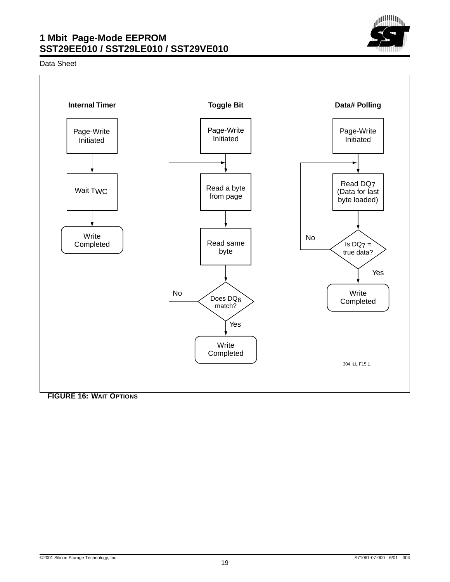

### Data Sheet



### <span id="page-18-0"></span>**FIGURE 16: WAIT OPTIONS**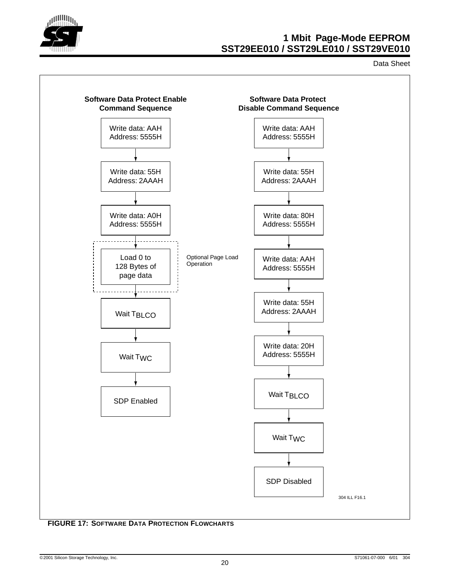

Data Sheet



### <span id="page-19-0"></span>**FIGURE 17: SOFTWARE DATA PROTECTION FLOWCHARTS**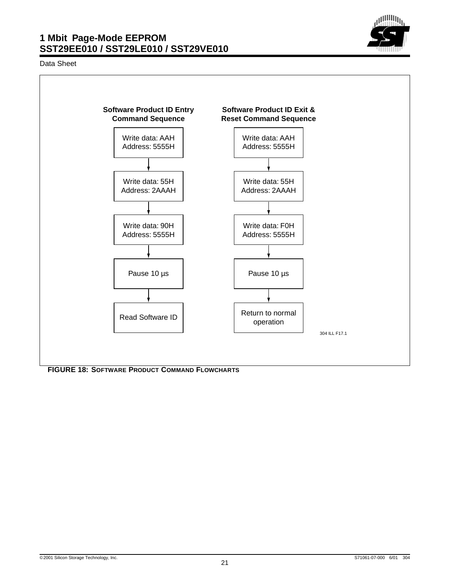



<span id="page-20-0"></span>**FIGURE 18: SOFTWARE PRODUCT COMMAND FLOWCHARTS**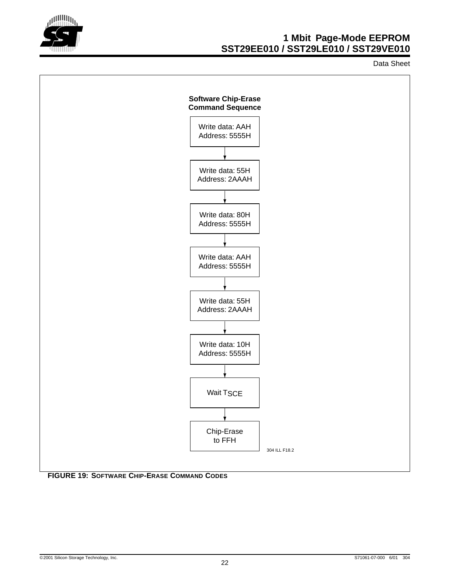



<span id="page-21-0"></span>**FIGURE 19: SOFTWARE CHIP-ERASE COMMAND CODES**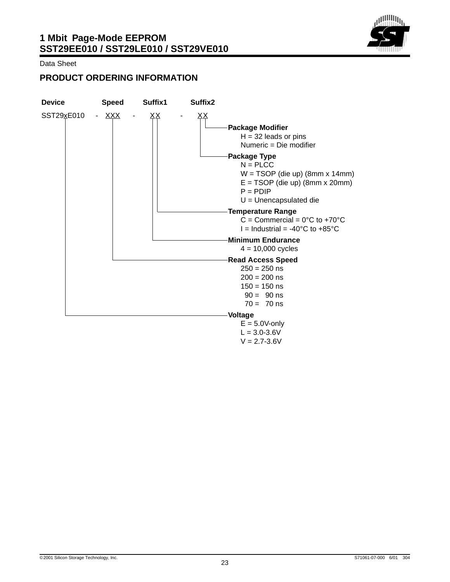

# **PRODUCT ORDERING INFORMATION**



 $L = 3.0 - 3.6V$  $V = 2.7 - 3.6V$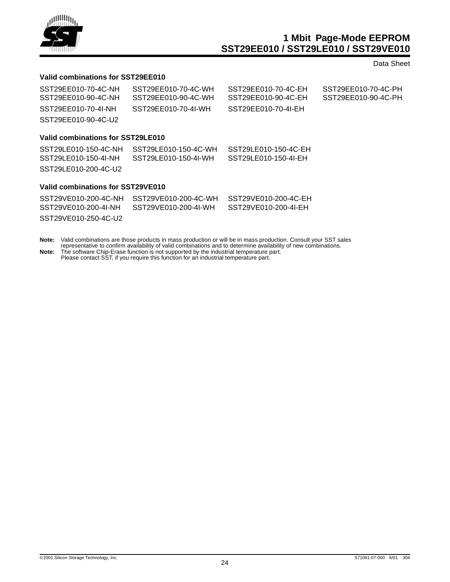

### **Valid combinations for SST29EE010**

| SST29EE010-70-4C-NH<br>SST29EE010-90-4C-NH | SST29EE010-70-4C-WH<br>SST29EE010-90-4C-WH | SST29FF010-70-4C-FH<br>SST29FF010-90-4C-FH | SST29FF010-70-4C-PH<br>SST29EE010-90-4C-PH |
|--------------------------------------------|--------------------------------------------|--------------------------------------------|--------------------------------------------|
| SST29EE010-70-4I-NH                        | SST29FF010-70-4I-WH                        | SST29EE010-70-4I-EH                        |                                            |
| SST29EE010-90-4C-U2                        |                                            |                                            |                                            |

### **Valid combinations for SST29LE010**

| SST29LE010-150-4C-NH | SST29LE010-150-4C-WH | SST29LE010-150-4C-EH |
|----------------------|----------------------|----------------------|
| SST29LE010-150-4I-NH | SST29LE010-150-4I-WH | SST29LE010-150-4I-EH |
| SST29LE010-200-4C-U2 |                      |                      |

### **Valid combinations for SST29VE010**

| SST29VE010-200-4I-NH | SST29VE010-200-4I-WH | SST29VE010-200-4I-EH |
|----------------------|----------------------|----------------------|
| SST29VE010-250-4C-U2 |                      |                      |

Note: Valid combinations are those products in mass production or will be in mass production. Consult your SST sales<br>representative to confirm availability of valid combinations and to determine availability of new combina

**Note:** The software Chip-Erase function is not supported by the industrial temperature part. Please contact SST, if you require this function for an industrial temperature part.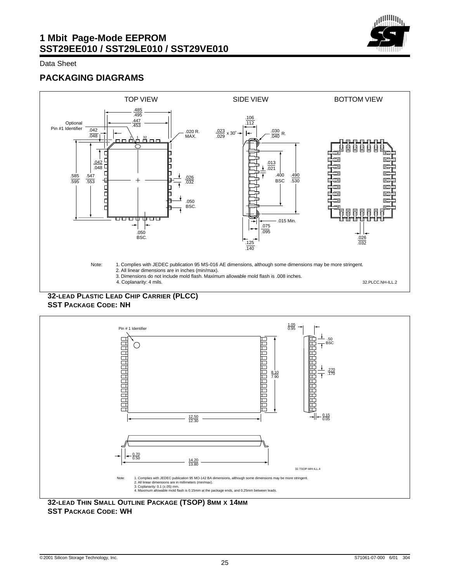

### **PACKAGING DIAGRAMS**



**32-LEAD PLASTIC LEAD CHIP CARRIER (PLCC) SST PACKAGE CODE: NH**



**SST PACKAGE CODE: WH**